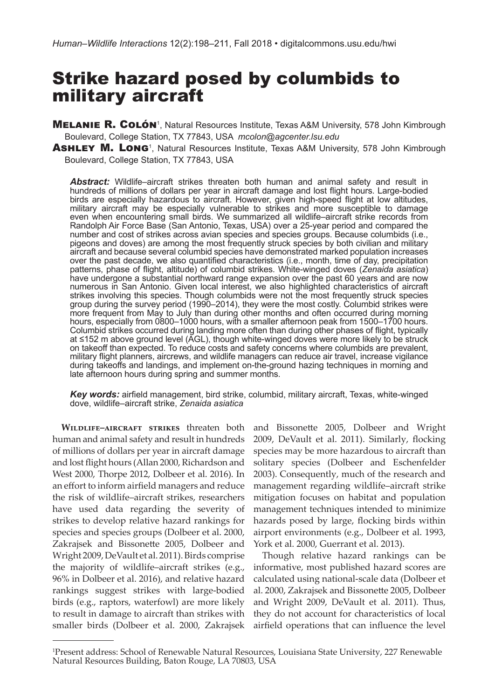# Strike hazard posed by columbids to military aircraft

**MELANIE R. COLÓN**<sup>1</sup>, Natural Resources Institute, Texas A&M University, 578 John Kimbrough Boulevard, College Station, TX 77843, USA *mcolon@agcenter.lsu.edu*

ASHLEY M. LONG<sup>1</sup>, Natural Resources Institute, Texas A&M University, 578 John Kimbrough Boulevard, College Station, TX 77843, USA

*Abstract:* Wildlife–aircraft strikes threaten both human and animal safety and result in hundreds of millions of dollars per year in aircraft damage and lost flight hours. Large-bodied birds are especially hazardous to aircraft. However, given high-speed flight at low altitudes, military aircraft may be especially vulnerable to strikes and more susceptible to damage even when encountering small birds. We summarized all wildlife–aircraft strike records from Randolph Air Force Base (San Antonio, Texas, USA) over a 25-year period and compared the number and cost of strikes across avian species and species groups. Because columbids (i.e., pigeons and doves) are among the most frequently struck species by both civilian and military aircraft and because several columbid species have demonstrated marked population increases over the past decade, we also quantified characteristics (i.e., month, time of day, precipitation patterns, phase of flight, altitude) of columbid strikes. White-winged doves (*Zenaida asiatica*) have undergone a substantial northward range expansion over the past 60 years and are now numerous in San Antonio. Given local interest, we also highlighted characteristics of aircraft strikes involving this species. Though columbids were not the most frequently struck species group during the survey period (1990–2014), they were the most costly. Columbid strikes were more frequent from May to July than during other months and often occurred during morning hours, especially from 0800-1000 hours, with a smaller afternoon peak from 1500-1700 hours. Columbid strikes occurred during landing more often than during other phases of flight, typically at ≤152 m above ground level (AGL), though white-winged doves were more likely to be struck on takeoff than expected. To reduce costs and safety concerns where columbids are prevalent, military flight planners, aircrews, and wildlife managers can reduce air travel, increase vigilance during takeoffs and landings, and implement on-the-ground hazing techniques in morning and late afternoon hours during spring and summer months.

*Key words:* airfield management, bird strike, columbid, military aircraft, Texas, white-winged dove, wildlife–aircraft strike, *Zenaida asiatica*

human and animal safety and result in hundreds of millions of dollars per year in aircraft damage and lost flight hours (Allan 2000, Richardson and West 2000, Thorpe 2012, Dolbeer et al. 2016). In an effort to inform airfield managers and reduce the risk of wildlife–aircraft strikes, researchers have used data regarding the severity of strikes to develop relative hazard rankings for species and species groups (Dolbeer et al. 2000, Zakrajsek and Bissonette 2005, Dolbeer and Wright 2009, DeVault et al. 2011). Birds comprise the majority of wildlife–aircraft strikes (e.g., 96% in Dolbeer et al. 2016), and relative hazard rankings suggest strikes with large-bodied birds (e.g., raptors, waterfowl) are more likely to result in damage to aircraft than strikes with smaller birds (Dolbeer et al. 2000, Zakrajsek airfield operations that can influence the level

**Wildlife–aircraft strikes** threaten both and Bissonette 2005, Dolbeer and Wright 2009, DeVault et al. 2011). Similarly, flocking species may be more hazardous to aircraft than solitary species (Dolbeer and Eschenfelder 2003). Consequently, much of the research and management regarding wildlife–aircraft strike mitigation focuses on habitat and population management techniques intended to minimize hazards posed by large, flocking birds within airport environments (e.g., Dolbeer et al. 1993, York et al. 2000, Guerrant et al. 2013).

> Though relative hazard rankings can be informative, most published hazard scores are calculated using national-scale data (Dolbeer et al. 2000, Zakrajsek and Bissonette 2005, Dolbeer and Wright 2009, DeVault et al. 2011). Thus, they do not account for characteristics of local

<sup>1</sup> Present address: School of Renewable Natural Resources, Louisiana State University, 227 Renewable Natural Resources Building, Baton Rouge, LA 70803, USA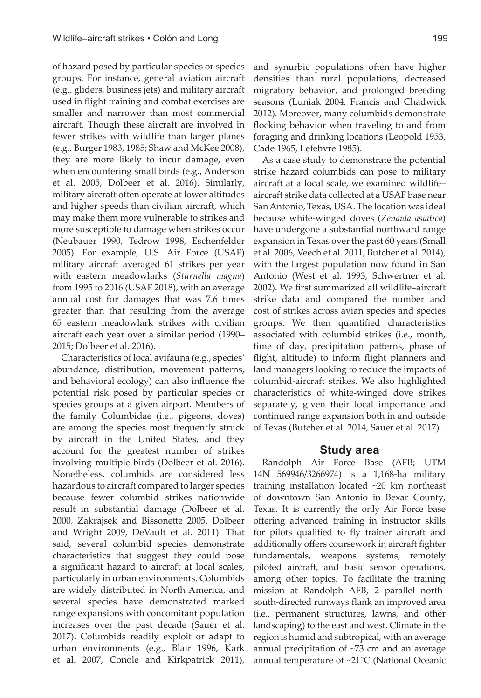of hazard posed by particular species or species groups. For instance, general aviation aircraft (e.g., gliders, business jets) and military aircraft used in flight training and combat exercises are smaller and narrower than most commercial aircraft. Though these aircraft are involved in fewer strikes with wildlife than larger planes (e.g., Burger 1983, 1985; Shaw and McKee 2008), they are more likely to incur damage, even when encountering small birds (e.g., Anderson et al. 2005, Dolbeer et al. 2016). Similarly, military aircraft often operate at lower altitudes and higher speeds than civilian aircraft, which may make them more vulnerable to strikes and more susceptible to damage when strikes occur (Neubauer 1990, Tedrow 1998, Eschenfelder 2005). For example, U.S. Air Force (USAF) military aircraft averaged 61 strikes per year with eastern meadowlarks (*Sturnella magna*) from 1995 to 2016 (USAF 2018), with an average annual cost for damages that was 7.6 times greater than that resulting from the average 65 eastern meadowlark strikes with civilian aircraft each year over a similar period (1990– 2015; Dolbeer et al. 2016).

Characteristics of local avifauna (e.g., species' abundance, distribution, movement patterns, and behavioral ecology) can also influence the potential risk posed by particular species or species groups at a given airport. Members of the family Columbidae (i.e., pigeons, doves) are among the species most frequently struck by aircraft in the United States, and they account for the greatest number of strikes involving multiple birds (Dolbeer et al. 2016). Nonetheless, columbids are considered less hazardous to aircraft compared to larger species because fewer columbid strikes nationwide result in substantial damage (Dolbeer et al. 2000, Zakrajsek and Bissonette 2005, Dolbeer and Wright 2009, DeVault et al. 2011). That said, several columbid species demonstrate characteristics that suggest they could pose a significant hazard to aircraft at local scales, particularly in urban environments. Columbids are widely distributed in North America, and several species have demonstrated marked range expansions with concomitant population increases over the past decade (Sauer et al. 2017). Columbids readily exploit or adapt to urban environments (e.g., Blair 1996, Kark et al. 2007, Conole and Kirkpatrick 2011), and synurbic populations often have higher densities than rural populations, decreased migratory behavior, and prolonged breeding seasons (Luniak 2004, Francis and Chadwick 2012). Moreover, many columbids demonstrate flocking behavior when traveling to and from foraging and drinking locations (Leopold 1953, Cade 1965, Lefebvre 1985).

As a case study to demonstrate the potential strike hazard columbids can pose to military aircraft at a local scale, we examined wildlife– aircraft strike data collected at a USAF base near San Antonio, Texas, USA. The location was ideal because white-winged doves (*Zenaida asiatica*) have undergone a substantial northward range expansion in Texas over the past 60 years (Small et al. 2006, Veech et al. 2011, Butcher et al. 2014), with the largest population now found in San Antonio (West et al. 1993, Schwertner et al. 2002). We first summarized all wildlife–aircraft strike data and compared the number and cost of strikes across avian species and species groups. We then quantified characteristics associated with columbid strikes (i.e., month, time of day, precipitation patterns, phase of flight, altitude) to inform flight planners and land managers looking to reduce the impacts of columbid-aircraft strikes. We also highlighted characteristics of white-winged dove strikes separately, given their local importance and continued range expansion both in and outside of Texas (Butcher et al. 2014, Sauer et al. 2017).

## **Study area**

Randolph Air Force Base (AFB; UTM 14N 569946/3266974) is a 1,168-ha military training installation located ~20 km northeast of downtown San Antonio in Bexar County, Texas. It is currently the only Air Force base offering advanced training in instructor skills for pilots qualified to fly trainer aircraft and additionally offers coursework in aircraft fighter fundamentals, weapons systems, remotely piloted aircraft, and basic sensor operations, among other topics. To facilitate the training mission at Randolph AFB, 2 parallel northsouth-directed runways flank an improved area (i.e., permanent structures, lawns, and other landscaping) to the east and west. Climate in the region is humid and subtropical, with an average annual precipitation of ~73 cm and an average annual temperature of ~21°C (National Oceanic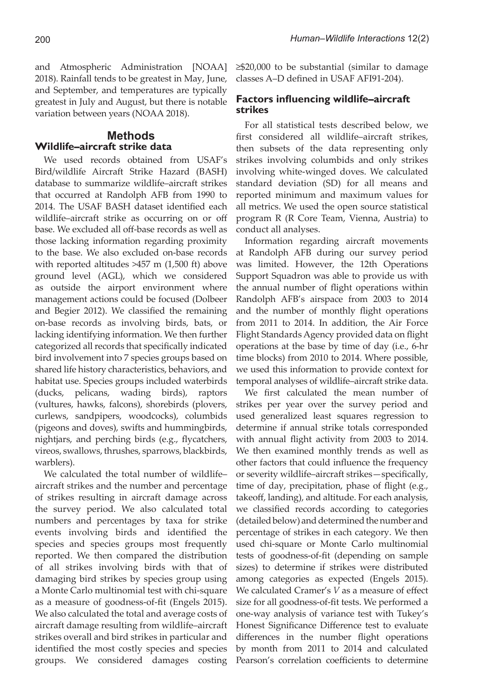and Atmospheric Administration [NOAA] 2018). Rainfall tends to be greatest in May, June, and September, and temperatures are typically greatest in July and August, but there is notable variation between years (NOAA 2018).

## **Methods Wildlife–aircraft strike data**

We used records obtained from USAF's Bird/wildlife Aircraft Strike Hazard (BASH) database to summarize wildlife–aircraft strikes that occurred at Randolph AFB from 1990 to 2014. The USAF BASH dataset identified each wildlife–aircraft strike as occurring on or off base. We excluded all off-base records as well as those lacking information regarding proximity to the base. We also excluded on-base records with reported altitudes >457 m (1,500 ft) above ground level (AGL), which we considered as outside the airport environment where management actions could be focused (Dolbeer and Begier 2012). We classified the remaining on-base records as involving birds, bats, or lacking identifying information. We then further categorized all records that specifically indicated bird involvement into 7 species groups based on shared life history characteristics, behaviors, and habitat use. Species groups included waterbirds (ducks, pelicans, wading birds), raptors (vultures, hawks, falcons), shorebirds (plovers, curlews, sandpipers, woodcocks), columbids (pigeons and doves), swifts and hummingbirds, nightjars, and perching birds (e.g., flycatchers, vireos, swallows, thrushes, sparrows, blackbirds, warblers).

We calculated the total number of wildlife– aircraft strikes and the number and percentage of strikes resulting in aircraft damage across the survey period. We also calculated total numbers and percentages by taxa for strike events involving birds and identified the species and species groups most frequently reported. We then compared the distribution of all strikes involving birds with that of damaging bird strikes by species group using a Monte Carlo multinomial test with chi-square as a measure of goodness-of-fit (Engels 2015). We also calculated the total and average costs of aircraft damage resulting from wildlife–aircraft strikes overall and bird strikes in particular and identified the most costly species and species groups. We considered damages costing ≥\$20,000 to be substantial (similar to damage classes A–D defined in USAF AFI91-204).

## **Factors influencing wildlife–aircraft strikes**

For all statistical tests described below, we first considered all wildlife–aircraft strikes, then subsets of the data representing only strikes involving columbids and only strikes involving white-winged doves. We calculated standard deviation (SD) for all means and reported minimum and maximum values for all metrics. We used the open source statistical program R (R Core Team, Vienna, Austria) to conduct all analyses.

Information regarding aircraft movements at Randolph AFB during our survey period was limited. However, the 12th Operations Support Squadron was able to provide us with the annual number of flight operations within Randolph AFB's airspace from 2003 to 2014 and the number of monthly flight operations from 2011 to 2014. In addition, the Air Force Flight Standards Agency provided data on flight operations at the base by time of day (i.e., 6-hr time blocks) from 2010 to 2014. Where possible, we used this information to provide context for temporal analyses of wildlife–aircraft strike data.

We first calculated the mean number of strikes per year over the survey period and used generalized least squares regression to determine if annual strike totals corresponded with annual flight activity from 2003 to 2014. We then examined monthly trends as well as other factors that could influence the frequency or severity wildlife–aircraft strikes—specifically, time of day, precipitation, phase of flight (e.g., takeoff, landing), and altitude. For each analysis, we classified records according to categories (detailed below) and determined the number and percentage of strikes in each category. We then used chi-square or Monte Carlo multinomial tests of goodness-of-fit (depending on sample sizes) to determine if strikes were distributed among categories as expected (Engels 2015). We calculated Cramer's *V* as a measure of effect size for all goodness-of-fit tests. We performed a one-way analysis of variance test with Tukey's Honest Significance Difference test to evaluate differences in the number flight operations by month from 2011 to 2014 and calculated Pearson's correlation coefficients to determine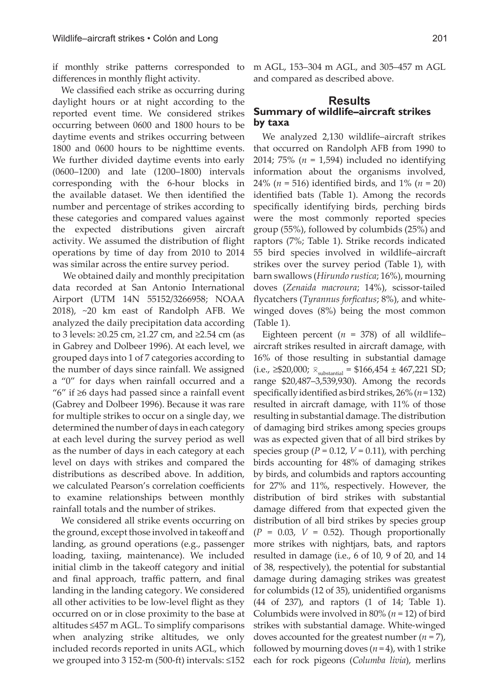if monthly strike patterns corresponded to differences in monthly flight activity.

We classified each strike as occurring during daylight hours or at night according to the reported event time. We considered strikes occurring between 0600 and 1800 hours to be daytime events and strikes occurring between 1800 and 0600 hours to be nighttime events. We further divided daytime events into early (0600–1200) and late (1200–1800) intervals corresponding with the 6-hour blocks in the available dataset. We then identified the number and percentage of strikes according to these categories and compared values against the expected distributions given aircraft activity. We assumed the distribution of flight operations by time of day from 2010 to 2014 was similar across the entire survey period.

 We obtained daily and monthly precipitation data recorded at San Antonio International Airport (UTM 14N 55152/3266958; NOAA 2018), ~20 km east of Randolph AFB. We analyzed the daily precipitation data according to 3 levels: ≥0.25 cm, ≥1.27 cm, and ≥2.54 cm (as in Gabrey and Dolbeer 1996). At each level, we grouped days into 1 of 7 categories according to the number of days since rainfall. We assigned a "0" for days when rainfall occurred and a "6" if ≥6 days had passed since a rainfall event (Gabrey and Dolbeer 1996). Because it was rare for multiple strikes to occur on a single day, we determined the number of days in each category at each level during the survey period as well as the number of days in each category at each level on days with strikes and compared the distributions as described above. In addition, we calculated Pearson's correlation coefficients to examine relationships between monthly rainfall totals and the number of strikes.

We considered all strike events occurring on the ground, except those involved in takeoff and landing, as ground operations (e.g., passenger loading, taxiing, maintenance). We included initial climb in the takeoff category and initial and final approach, traffic pattern, and final landing in the landing category. We considered all other activities to be low-level flight as they occurred on or in close proximity to the base at altitudes ≤457 m AGL. To simplify comparisons when analyzing strike altitudes, we only included records reported in units AGL, which we grouped into 3 152-m (500-ft) intervals: ≤152 m AGL, 153–304 m AGL, and 305–457 m AGL and compared as described above.

#### **Results Summary of wildlife–aircraft strikes by taxa**

We analyzed 2,130 wildlife–aircraft strikes that occurred on Randolph AFB from 1990 to 2014; 75% (*n* = 1,594) included no identifying information about the organisms involved, 24% (*n* = 516) identified birds, and 1% (*n* = 20) identified bats (Table 1). Among the records specifically identifying birds, perching birds were the most commonly reported species group (55%), followed by columbids (25%) and raptors (7%; Table 1). Strike records indicated 55 bird species involved in wildlife–aircraft strikes over the survey period (Table 1), with barn swallows (*Hirundo rustica*; 16%), mourning doves (*Zenaida macroura*; 14%), scissor-tailed flycatchers (*Tyrannus forficatus*; 8%), and whitewinged doves (8%) being the most common (Table 1).

Eighteen percent ( $n = 378$ ) of all wildlifeaircraft strikes resulted in aircraft damage, with 16% of those resulting in substantial damage (i.e., ≥\$20,000;  $\bar{x}_{substantial}$  = \$166,454 ± 467,221 SD; range \$20,487–3,539,930). Among the records specifically identified as bird strikes, 26% (*n* = 132) resulted in aircraft damage, with 11% of those resulting in substantial damage. The distribution of damaging bird strikes among species groups was as expected given that of all bird strikes by species group  $(P = 0.12, V = 0.11)$ , with perching birds accounting for 48% of damaging strikes by birds, and columbids and raptors accounting for 27% and 11%, respectively. However, the distribution of bird strikes with substantial damage differed from that expected given the distribution of all bird strikes by species group  $(P = 0.03, V = 0.52)$ . Though proportionally more strikes with nightjars, bats, and raptors resulted in damage (i.e., 6 of 10, 9 of 20, and 14 of 38, respectively), the potential for substantial damage during damaging strikes was greatest for columbids (12 of 35), unidentified organisms (44 of 237), and raptors (1 of 14; Table 1). Columbids were involved in 80% (*n* = 12) of bird strikes with substantial damage. White-winged doves accounted for the greatest number (*n* = 7), followed by mourning doves  $(n=4)$ , with 1 strike each for rock pigeons (*Columba livia*), merlins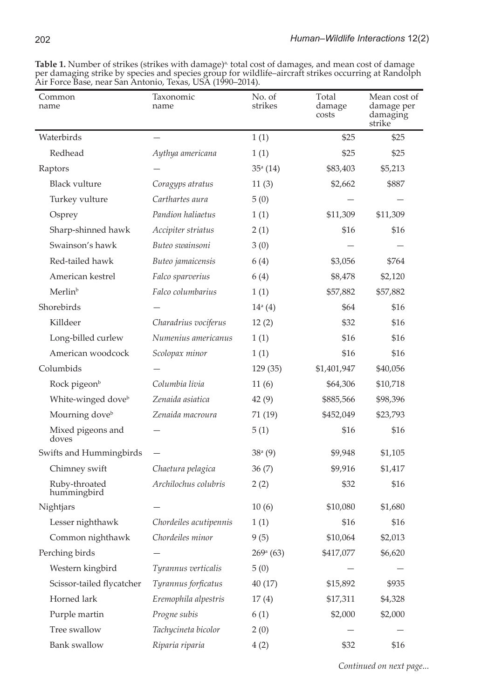| Common<br>name                 | Taxonomic<br>name      | No. of<br>strikes   | Total<br>damage<br>costs | Mean cost of<br>damage per<br>damaging<br>strike |
|--------------------------------|------------------------|---------------------|--------------------------|--------------------------------------------------|
| Waterbirds                     |                        | 1(1)                | \$25                     | \$25                                             |
| Redhead                        | Aythya americana       | 1(1)                | \$25                     | \$25                                             |
| Raptors                        |                        | $35^{\circ}$ (14)   | \$83,403                 | \$5,213                                          |
| <b>Black vulture</b>           | Coragyps atratus       | 11(3)               | \$2,662                  | \$887                                            |
| Turkey vulture                 | Carthartes aura        | 5(0)                |                          |                                                  |
| Osprey                         | Pandion haliaetus      | 1(1)                | \$11,309                 | \$11,309                                         |
| Sharp-shinned hawk             | Accipiter striatus     | 2(1)                | \$16                     | \$16                                             |
| Swainson's hawk                | Buteo swainsoni        | 3(0)                |                          |                                                  |
| Red-tailed hawk                | Buteo jamaicensis      | 6 (4)               | \$3,056                  | \$764                                            |
| American kestrel               | Falco sparverius       | 6(4)                | \$8,478                  | \$2,120                                          |
| Merlin <sup>b</sup>            | Falco columbarius      | 1(1)                | \$57,882                 | \$57,882                                         |
| Shorebirds                     |                        | $14^{\circ}$ (4)    | \$64                     | \$16                                             |
| Killdeer                       | Charadrius vociferus   | 12(2)               | \$32                     | \$16                                             |
| Long-billed curlew             | Numenius americanus    | 1(1)                | \$16                     | \$16                                             |
| American woodcock              | Scolopax minor         | 1(1)                | \$16                     | \$16                                             |
| Columbids                      |                        | 129(35)             | \$1,401,947              | \$40,056                                         |
| Rock pigeon <sup>b</sup>       | Columbia livia         | 11(6)               | \$64,306                 | \$10,718                                         |
| White-winged dove <sup>b</sup> | Zenaida asiatica       | 42(9)               | \$885,566                | \$98,396                                         |
| Mourning dove <sup>b</sup>     | Zenaida macroura       | 71 (19)             | \$452,049                | \$23,793                                         |
| Mixed pigeons and<br>doves     |                        | 5(1)                | \$16                     | \$16                                             |
| Swifts and Hummingbirds        |                        | 38 <sup>a</sup> (9) | \$9,948                  | \$1,105                                          |
| Chimney swift                  | Chaetura pelagica      | 36(7)               | \$9,916                  | \$1,417                                          |
| Ruby-throated<br>hummingbird   | Archilochus colubris   | 2(2)                | \$32                     | \$16                                             |
| Nightjars                      |                        | 10(6)               | \$10,080                 | \$1,680                                          |
| Lesser nighthawk               | Chordeiles acutipennis | 1(1)                | \$16                     | \$16                                             |
| Common nighthawk               | Chordeiles minor       | 9(5)                | \$10,064                 | \$2,013                                          |
| Perching birds                 |                        | $269^{\rm a}$ (63)  | \$417,077                | \$6,620                                          |
| Western kingbird               | Tyrannus verticalis    | 5(0)                |                          |                                                  |
| Scissor-tailed flycatcher      | Tyrannus forficatus    | 40(17)              | \$15,892                 | \$935                                            |
| Horned lark                    | Eremophila alpestris   | 17(4)               | \$17,311                 | \$4,328                                          |
| Purple martin                  | Progne subis           | 6(1)                | \$2,000                  | \$2,000                                          |
| Tree swallow                   | Tachycineta bicolor    | 2(0)                |                          |                                                  |
| <b>Bank</b> swallow            | Riparia riparia        | 4(2)                | \$32                     | \$16                                             |

Table 1. Number of strikes (strikes with damage)<sup>a,</sup> total cost of damages, and mean cost of damage per damaging strike by species and species group for wildlife–aircraft strikes occurring at Randolph Air Force Base, near San Antonio, Texas, USA (1990–2014).

*Continued on next page...*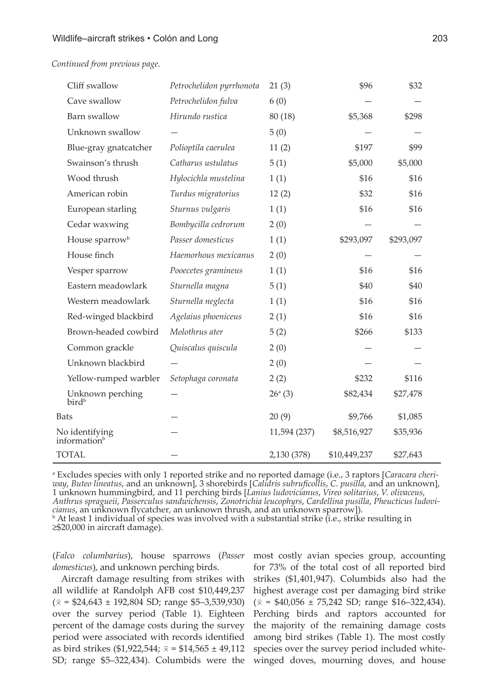*Continued from previous page.*

| Cliff swallow                              | Petrochelidon pyrrhonota | 21(3)            | \$96         | \$32      |  |
|--------------------------------------------|--------------------------|------------------|--------------|-----------|--|
| Cave swallow                               | Petrochelidon fulva      | 6(0)             |              |           |  |
| Barn swallow                               | Hirundo rustica          | 80 (18)          | \$5,368      | \$298     |  |
| Unknown swallow                            |                          | 5(0)             |              |           |  |
| Blue-gray gnatcatcher                      | Polioptila caerulea      | 11(2)            | \$197        | \$99      |  |
| Swainson's thrush                          | Catharus ustulatus       | 5(1)             | \$5,000      | \$5,000   |  |
| Wood thrush                                | Hylocichla mustelina     | 1(1)             | \$16         | \$16      |  |
| American robin                             | Turdus migratorius       | 12(2)            | \$32         | \$16      |  |
| European starling                          | Sturnus vulgaris         | 1(1)             | \$16         | \$16      |  |
| Cedar waxwing                              | Bombycilla cedrorum      | 2(0)             |              |           |  |
| House sparrow <sup>b</sup>                 | Passer domesticus        | 1(1)             | \$293,097    | \$293,097 |  |
| House finch                                | Haemorhous mexicanus     | 2(0)             |              |           |  |
| Vesper sparrow                             | Pooecetes gramineus      | 1(1)             | \$16         | \$16      |  |
| Eastern meadowlark                         | Sturnella magna          | 5(1)             | \$40         | \$40      |  |
| Western meadowlark                         | Sturnella neglecta       | 1(1)             | \$16         | \$16      |  |
| Red-winged blackbird                       | Agelaius phoeniceus      | 2(1)             | \$16         | \$16      |  |
| Brown-headed cowbird                       | Molothrus ater           | 5(2)             | \$266        | \$133     |  |
| Common grackle                             | Quiscalus quiscula       | 2(0)             |              |           |  |
| Unknown blackbird                          |                          | 2(0)             |              |           |  |
| Yellow-rumped warbler                      | Setophaga coronata       | 2(2)             | \$232        | \$116     |  |
| Unknown perching<br>bird <sup>b</sup>      |                          | $26^{\circ}$ (3) | \$82,434     | \$27,478  |  |
| Bats                                       |                          | 20(9)            | \$9,766      | \$1,085   |  |
| No identifying<br>information <sup>b</sup> |                          | 11,594 (237)     | \$8,516,927  | \$35,936  |  |
| <b>TOTAL</b>                               |                          | 2,130 (378)      | \$10,449,237 | \$27,643  |  |

a Excludes species with only 1 reported strike and no reported damage (i.e., 3 raptors [*Caracara cheriway*, *Buteo lineatus*, and an unknown], 3 shorebirds [*Calidris subruficollis*, *C. pusilla*, and an unknown], 1 unknown hummingbird, and 11 perching birds [*Lanius ludovicianus*, *Vireo solitarius*, *V. olivaceus*, *Anthrus spragueii*, *Passerculus sandwichensis*, *Zonotrichia leucophyrs*, *Cardellina pusilla*, *Pheucticus ludovicianus*, an unknown flycatcher, an unknown thrush, and an unknown sparrow]). <sup>b</sup>  $\mathbb{R}$  At least 1 individual of species was involved with a substantial strike (i.e., strike resulting in

≥\$20,000 in aircraft damage).

(*Falco columbarius*), house sparrows (*Passer domesticus*), and unknown perching birds.

Aircraft damage resulting from strikes with all wildlife at Randolph AFB cost \$10,449,237  $(\bar{x} = $24,643 \pm 192,804$  SD; range \$5-3,539,930) over the survey period (Table 1). Eighteen percent of the damage costs during the survey period were associated with records identified as bird strikes (\$1,922,544;  $\bar{x}$  = \$14,565 ± 49,112 SD; range \$5–322,434). Columbids were the most costly avian species group, accounting for 73% of the total cost of all reported bird strikes (\$1,401,947). Columbids also had the highest average cost per damaging bird strike  $(\bar{x} = $40,056 \pm 75,242$  SD; range \$16-322,434). Perching birds and raptors accounted for the majority of the remaining damage costs among bird strikes (Table 1). The most costly species over the survey period included whitewinged doves, mourning doves, and house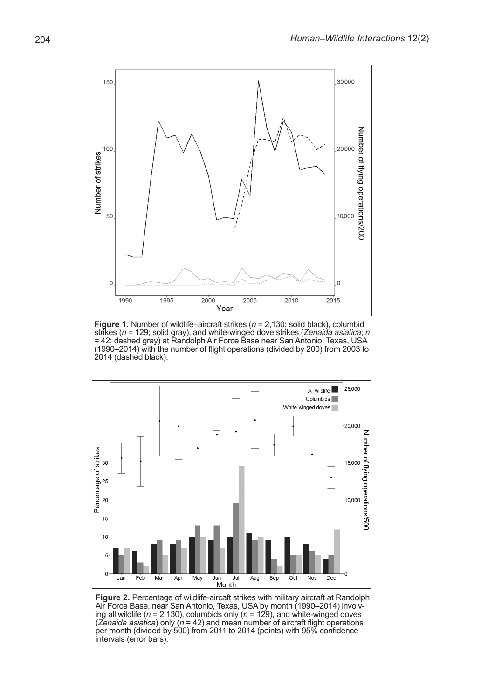

**Figure 1.** Number of wildlife–aircraft strikes (*n* = 2,130; solid black), columbid strikes (*n* = 129; solid gray), and white-winged dove strikes (*Zenaida asiatica*; *n* = 42; dashed gray) at Randolph Air Force Base near San Antonio, Texas, USA (1990–2014) with the number of flight operations (divided by 200) from 2003 to 2014 (dashed black).



**Figure 2.** Percentage of wildlife-aircaft strikes with military aircraft at Randolph Air Force Base, near San Antonio, Texas, USA by month (1990–2014) involv- ing all wildlife (*n* = 2,130), columbids only (*n* = 129), and white-winged doves (*Zenaida asiatica*) only (*n* = 42) and mean number of aircraft flight operations per month (divided by 500) from 2011 to 2014 (points) with 95% confidence intervals (error bars).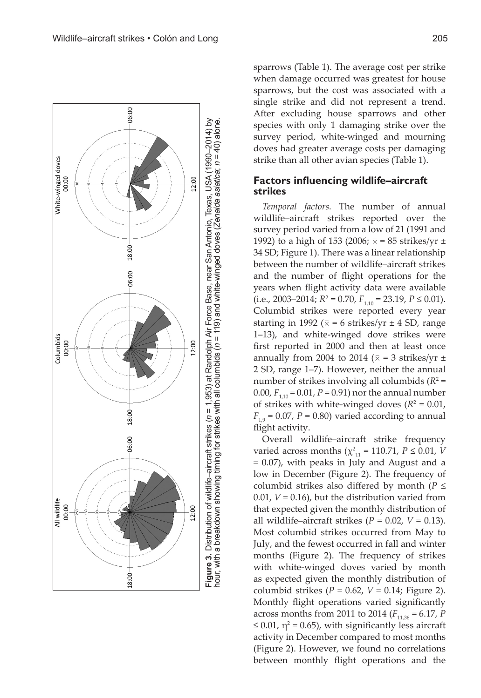



sparrows (Table 1). The average cost per strike when damage occurred was greatest for house sparrows, but the cost was associated with a single strike and did not represent a trend. After excluding house sparrows and other species with only 1 damaging strike over the survey period, white-winged and mourning doves had greater average costs per damaging strike than all other avian species (Table 1).

### **Factors influencing wildlife–aircraft strikes**

*Temporal factors.* The number of annual wildlife–aircraft strikes reported over the survey period varied from a low of 21 (1991 and 1992) to a high of 153 (2006;  $\bar{x}$  = 85 strikes/yr ± 34 SD; Figure 1). There was a linear relationship between the number of wildlife–aircraft strikes and the number of flight operations for the years when flight activity data were available  $(i.e., 2003-2014; R^2 = 0.70, F_{1,10} = 23.19, P \le 0.01$ . Columbid strikes were reported every year starting in 1992 ( $\bar{x}$  = 6 strikes/yr  $\pm$  4 SD, range 1–13), and white-winged dove strikes were first reported in 2000 and then at least once annually from 2004 to 2014 ( $\bar{x}$  = 3 strikes/yr  $\pm$ 2 SD, range 1–7). However, neither the annual number of strikes involving all columbids  $(R^2 =$ 0.00,  $F_{1,10} = 0.01$ ,  $P = 0.91$ ) nor the annual number of strikes with white-winged doves  $(R^2 = 0.01,$  $F_{19} = 0.07$ ,  $P = 0.80$ ) varied according to annual flight activity.

Overall wildlife–aircraft strike frequency varied across months ( $\chi^2_{11}$  = 110.71, *P* ≤ 0.01, *V* = 0.07), with peaks in July and August and a low in December (Figure 2). The frequency of columbid strikes also differed by month (*P ≤*  0.01, *V* = 0.16), but the distribution varied from that expected given the monthly distribution of all wildlife–aircraft strikes  $(P = 0.02, V = 0.13)$ . Most columbid strikes occurred from May to July, and the fewest occurred in fall and winter months (Figure 2). The frequency of strikes with white-winged doves varied by month as expected given the monthly distribution of columbid strikes (*P* = 0.62, *V* = 0.14; Figure 2). Monthly flight operations varied significantly across months from 2011 to 2014 ( $F_{11,36} = 6.17$ , *P*  $\leq$  0.01,  $\eta$ <sup>2</sup> = 0.65), with significantly less aircraft activity in December compared to most months (Figure 2). However, we found no correlations between monthly flight operations and the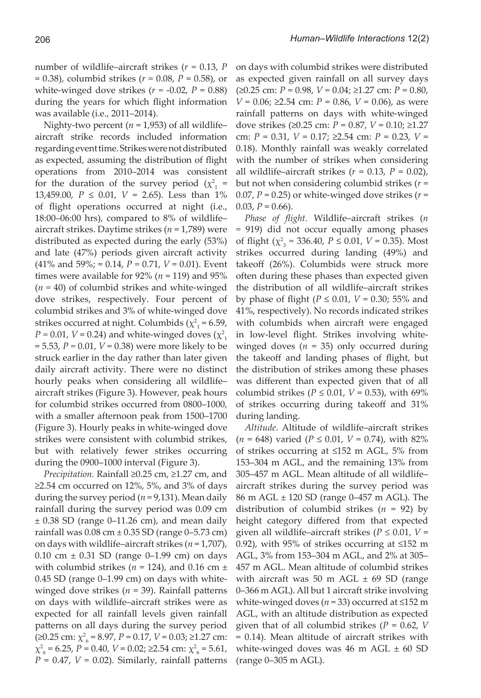number of wildlife–aircraft strikes (*r =* 0.13, *P* = 0.38), columbid strikes (*r =* 0.08, *P* = 0.58), or white-winged dove strikes  $(r = -0.02, P = 0.88)$ during the years for which flight information was available (i.e., 2011–2014).

Nighty-two percent ( $n = 1,953$ ) of all wildlifeaircraft strike records included information regarding event time. Strikes were not distributed as expected, assuming the distribution of flight operations from 2010–2014 was consistent for the duration of the survey period ( $\chi^2$ <sub>1</sub> = 13,459.00, *P* ≤ 0.01, *V* = 2.65). Less than 1% of flight operations occurred at night (i.e., 18:00–06:00 hrs), compared to 8% of wildlife– aircraft strikes. Daytime strikes (*n* = 1,789) were distributed as expected during the early (53%) and late (47%) periods given aircraft activity (41% and 59%; = 0.14, *P =* 0.71, *V* = 0.01). Event times were available for  $92\%$  ( $n = 119$ ) and  $95\%$ (*n =* 40) of columbid strikes and white-winged dove strikes, respectively. Four percent of columbid strikes and 3% of white-winged dove strikes occurred at night. Columbids ( $\chi^2$ <sub>1</sub> = 6.59,  $P = 0.01$ ,  $V = 0.24$ ) and white-winged doves ( $\chi^2$ <sub>1</sub> = 5.53, *P =* 0.01, *V* = 0.38) were more likely to be struck earlier in the day rather than later given daily aircraft activity. There were no distinct hourly peaks when considering all wildlife– aircraft strikes (Figure 3). However, peak hours for columbid strikes occurred from 0800–1000, with a smaller afternoon peak from 1500–1700 (Figure 3). Hourly peaks in white-winged dove strikes were consistent with columbid strikes, but with relatively fewer strikes occurring during the 0900–1000 interval (Figure 3).

*Precipitation.* Rainfall ≥0.25 cm, ≥1.27 cm, and ≥2.54 cm occurred on 12%, 5%, and 3% of days during the survey period (*n* = 9,131). Mean daily rainfall during the survey period was 0.09 cm ± 0.38 SD (range 0–11.26 cm), and mean daily rainfall was  $0.08$  cm  $\pm 0.35$  SD (range  $0-5.73$  cm) on days with wildlife–aircraft strikes (*n* = 1,707), 0.10 cm  $\pm$  0.31 SD (range 0–1.99 cm) on days with columbid strikes ( $n = 124$ ), and 0.16 cm  $\pm$ 0.45 SD (range 0–1.99 cm) on days with whitewinged dove strikes (*n* = 39). Rainfall patterns on days with wildlife–aircraft strikes were as expected for all rainfall levels given rainfall patterns on all days during the survey period  $(≥0.25$  cm:  $\chi^2$ <sub>6</sub> = 8.97, *P* = 0.17, *V* = 0.03; ≥1.27 cm:  $\chi^2_{6}$  = 6.25, *P* = 0.40, *V* = 0.02; ≥2.54 cm:  $\chi^2_{6}$  = 5.61,  $P = 0.47$ ,  $V = 0.02$ ). Similarly, rainfall patterns

on days with columbid strikes were distributed as expected given rainfall on all survey days (≥0.25 cm: *P* = 0.98, *V* = 0.04; ≥1.27 cm: *P* = 0.80, *V* = 0.06; ≥2.54 cm: *P* = 0.86, *V* = 0.06), as were rainfall patterns on days with white-winged dove strikes (≥0.25 cm: *P* = 0.87, *V* = 0.10; ≥1.27 cm: *P* = 0.31, *V* = 0.17; ≥2.54 cm: *P* = 0.23, *V* = 0.18). Monthly rainfall was weakly correlated with the number of strikes when considering all wildlife–aircraft strikes  $(r = 0.13, P = 0.02)$ , but not when considering columbid strikes (*r* = 0.07,  $P = 0.25$ ) or white-winged dove strikes ( $r =$ 0.03,  $P = 0.66$ ).

*Phase of flight.* Wildlife–aircraft strikes (*n =* 919) did not occur equally among phases of flight (χ2 3  *=* 336.40, *P* ≤ 0.01, *V* = 0.35). Most strikes occurred during landing (49%) and takeoff (26%). Columbids were struck more often during these phases than expected given the distribution of all wildlife–aircraft strikes by phase of flight (*P* ≤ 0.01, *V* = 0.30; 55% and 41%, respectively). No records indicated strikes with columbids when aircraft were engaged in low-level flight. Strikes involving whitewinged doves (*n* = 35) only occurred during the takeoff and landing phases of flight, but the distribution of strikes among these phases was different than expected given that of all columbid strikes ( $P \le 0.01$ ,  $V = 0.53$ ), with 69% of strikes occurring during takeoff and 31% during landing.

*Altitude*. Altitude of wildlife–aircraft strikes  $(n = 648)$  varied  $(P \le 0.01, V = 0.74)$ , with 82% of strikes occurring at ≤152 m AGL, 5% from 153–304 m AGL, and the remaining 13% from 305–457 m AGL. Mean altitude of all wildlife– aircraft strikes during the survey period was 86 m AGL ± 120 SD (range 0–457 m AGL). The distribution of columbid strikes (*n* = 92) by height category differed from that expected given all wildlife–aircraft strikes (*P ≤* 0.01, *V* = 0.92), with 95% of strikes occurring at ≤152 m AGL, 3% from 153–304 m AGL, and 2% at 305– 457 m AGL. Mean altitude of columbid strikes with aircraft was 50 m AGL  $\pm$  69 SD (range 0–366 m AGL). All but 1 aircraft strike involving white-winged doves (*n* = 33) occurred at ≤152 m AGL, with an altitude distribution as expected given that of all columbid strikes (*P* = 0.62, *V*  = 0.14). Mean altitude of aircraft strikes with white-winged doves was  $46$  m AGL  $\pm 60$  SD (range 0–305 m AGL).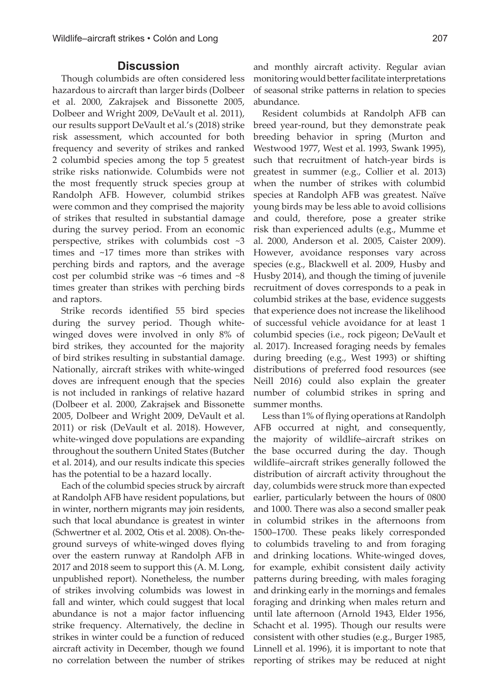## **Discussion**

Though columbids are often considered less hazardous to aircraft than larger birds (Dolbeer et al. 2000, Zakrajsek and Bissonette 2005, Dolbeer and Wright 2009, DeVault et al. 2011), our results support DeVault et al.'s (2018) strike risk assessment, which accounted for both frequency and severity of strikes and ranked 2 columbid species among the top 5 greatest strike risks nationwide. Columbids were not the most frequently struck species group at Randolph AFB. However, columbid strikes were common and they comprised the majority of strikes that resulted in substantial damage during the survey period. From an economic perspective, strikes with columbids cost ~3 times and ~17 times more than strikes with perching birds and raptors, and the average cost per columbid strike was ~6 times and ~8 times greater than strikes with perching birds and raptors.

Strike records identified 55 bird species during the survey period. Though whitewinged doves were involved in only 8% of bird strikes, they accounted for the majority of bird strikes resulting in substantial damage. Nationally, aircraft strikes with white-winged doves are infrequent enough that the species is not included in rankings of relative hazard (Dolbeer et al. 2000, Zakrajsek and Bissonette 2005, Dolbeer and Wright 2009, DeVault et al. 2011) or risk (DeVault et al. 2018). However, white-winged dove populations are expanding throughout the southern United States (Butcher et al. 2014), and our results indicate this species has the potential to be a hazard locally.

Each of the columbid species struck by aircraft at Randolph AFB have resident populations, but in winter, northern migrants may join residents, such that local abundance is greatest in winter (Schwertner et al. 2002, Otis et al. 2008). On-theground surveys of white-winged doves flying over the eastern runway at Randolph AFB in 2017 and 2018 seem to support this (A. M. Long, unpublished report). Nonetheless, the number of strikes involving columbids was lowest in fall and winter, which could suggest that local abundance is not a major factor influencing strike frequency. Alternatively, the decline in strikes in winter could be a function of reduced aircraft activity in December, though we found no correlation between the number of strikes and monthly aircraft activity. Regular avian monitoring would better facilitate interpretations of seasonal strike patterns in relation to species abundance.

Resident columbids at Randolph AFB can breed year-round, but they demonstrate peak breeding behavior in spring (Murton and Westwood 1977, West et al. 1993, Swank 1995), such that recruitment of hatch-year birds is greatest in summer (e.g., Collier et al. 2013) when the number of strikes with columbid species at Randolph AFB was greatest. Naïve young birds may be less able to avoid collisions and could, therefore, pose a greater strike risk than experienced adults (e.g., Mumme et al. 2000, Anderson et al. 2005, Caister 2009). However, avoidance responses vary across species (e.g., Blackwell et al. 2009, Husby and Husby 2014), and though the timing of juvenile recruitment of doves corresponds to a peak in columbid strikes at the base, evidence suggests that experience does not increase the likelihood of successful vehicle avoidance for at least 1 columbid species (i.e., rock pigeon; DeVault et al. 2017). Increased foraging needs by females during breeding (e.g., West 1993) or shifting distributions of preferred food resources (see Neill 2016) could also explain the greater number of columbid strikes in spring and summer months.

Less than 1% of flying operations at Randolph AFB occurred at night, and consequently, the majority of wildlife–aircraft strikes on the base occurred during the day. Though wildlife–aircraft strikes generally followed the distribution of aircraft activity throughout the day, columbids were struck more than expected earlier, particularly between the hours of 0800 and 1000. There was also a second smaller peak in columbid strikes in the afternoons from 1500–1700. These peaks likely corresponded to columbids traveling to and from foraging and drinking locations. White-winged doves, for example, exhibit consistent daily activity patterns during breeding, with males foraging and drinking early in the mornings and females foraging and drinking when males return and until late afternoon (Arnold 1943, Elder 1956, Schacht et al. 1995). Though our results were consistent with other studies (e.g., Burger 1985, Linnell et al. 1996), it is important to note that reporting of strikes may be reduced at night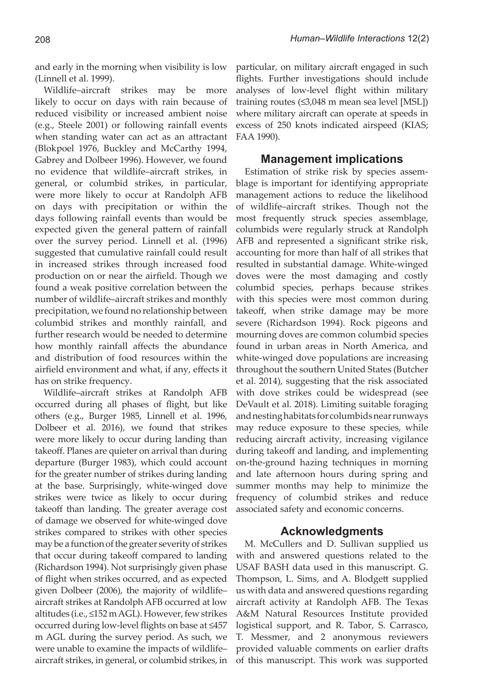and early in the morning when visibility is low (Linnell et al. 1999).

Wildlife–aircraft strikes may be more likely to occur on days with rain because of reduced visibility or increased ambient noise (e.g., Steele 2001) or following rainfall events when standing water can act as an attractant (Blokpoel 1976, Buckley and McCarthy 1994, Gabrey and Dolbeer 1996). However, we found no evidence that wildlife–aircraft strikes, in general, or columbid strikes, in particular, were more likely to occur at Randolph AFB on days with precipitation or within the days following rainfall events than would be expected given the general pattern of rainfall over the survey period. Linnell et al. (1996) suggested that cumulative rainfall could result in increased strikes through increased food production on or near the airfield. Though we found a weak positive correlation between the number of wildlife–aircraft strikes and monthly precipitation, we found no relationship between columbid strikes and monthly rainfall, and further research would be needed to determine how monthly rainfall affects the abundance and distribution of food resources within the airfield environment and what, if any, effects it has on strike frequency.

Wildlife–aircraft strikes at Randolph AFB occurred during all phases of flight, but like others (e.g., Burger 1985, Linnell et al. 1996, Dolbeer et al. 2016), we found that strikes were more likely to occur during landing than takeoff. Planes are quieter on arrival than during departure (Burger 1983), which could account for the greater number of strikes during landing at the base. Surprisingly, white-winged dove strikes were twice as likely to occur during takeoff than landing. The greater average cost of damage we observed for white-winged dove strikes compared to strikes with other species may be a function of the greater severity of strikes that occur during takeoff compared to landing (Richardson 1994). Not surprisingly given phase of flight when strikes occurred, and as expected given Dolbeer (2006), the majority of wildlife– aircraft strikes at Randolph AFB occurred at low altitudes (i.e., ≤152 m AGL). However, few strikes occurred during low-level flights on base at ≤457 m AGL during the survey period. As such, we were unable to examine the impacts of wildlife– aircraft strikes, in general, or columbid strikes, in

particular, on military aircraft engaged in such flights. Further investigations should include analyses of low-level flight within military training routes (≤3,048 m mean sea level [MSL]) where military aircraft can operate at speeds in excess of 250 knots indicated airspeed (KIAS; FAA 1990).

#### **Management implications**

Estimation of strike risk by species assemblage is important for identifying appropriate management actions to reduce the likelihood of wildlife–aircraft strikes. Though not the most frequently struck species assemblage, columbids were regularly struck at Randolph AFB and represented a significant strike risk, accounting for more than half of all strikes that resulted in substantial damage. White-winged doves were the most damaging and costly columbid species, perhaps because strikes with this species were most common during takeoff, when strike damage may be more severe (Richardson 1994). Rock pigeons and mourning doves are common columbid species found in urban areas in North America, and white-winged dove populations are increasing throughout the southern United States (Butcher et al. 2014), suggesting that the risk associated with dove strikes could be widespread (see DeVault et al. 2018). Limiting suitable foraging and nesting habitats for columbids near runways may reduce exposure to these species, while reducing aircraft activity, increasing vigilance during takeoff and landing, and implementing on-the-ground hazing techniques in morning and late afternoon hours during spring and summer months may help to minimize the frequency of columbid strikes and reduce associated safety and economic concerns.

#### **Acknowledgments**

M. McCullers and D. Sullivan supplied us with and answered questions related to the USAF BASH data used in this manuscript. G. Thompson, L. Sims, and A. Blodgett supplied us with data and answered questions regarding aircraft activity at Randolph AFB. The Texas A&M Natural Resources Institute provided logistical support, and R. Tabor, S. Carrasco, T. Messmer, and 2 anonymous reviewers provided valuable comments on earlier drafts of this manuscript. This work was supported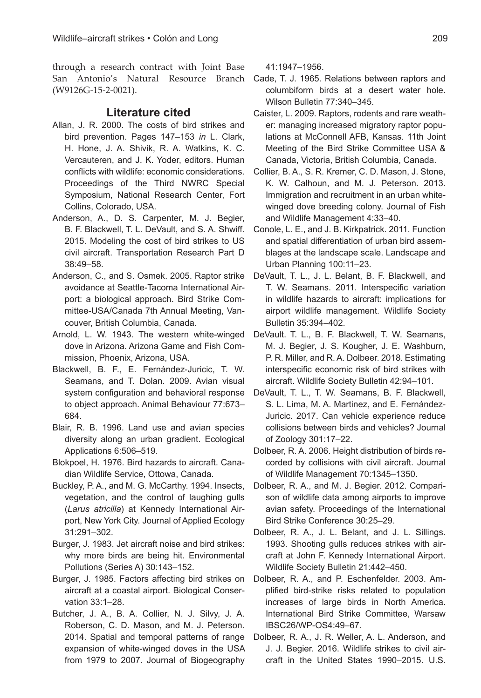through a research contract with Joint Base San Antonio's Natural Resource Branch (W9126G-15-2-0021).

## **Literature cited**

- Allan, J. R. 2000. The costs of bird strikes and bird prevention. Pages 147–153 *in* L. Clark, H. Hone, J. A. Shivik, R. A. Watkins, K. C. Vercauteren, and J. K. Yoder, editors. Human conflicts with wildlife: economic considerations. Proceedings of the Third NWRC Special Symposium, National Research Center, Fort Collins, Colorado, USA.
- Anderson, A., D. S. Carpenter, M. J. Begier, B. F. Blackwell, T. L. DeVault, and S. A. Shwiff. 2015. Modeling the cost of bird strikes to US civil aircraft. Transportation Research Part D 38:49–58.
- Anderson, C., and S. Osmek. 2005. Raptor strike avoidance at Seattle-Tacoma International Airport: a biological approach. Bird Strike Committee-USA/Canada 7th Annual Meeting, Vancouver, British Columbia, Canada.
- Arnold, L. W. 1943. The western white-winged dove in Arizona. Arizona Game and Fish Commission, Phoenix, Arizona, USA.
- Blackwell, B. F., E. Fernández-Juricic, T. W. Seamans, and T. Dolan. 2009. Avian visual system configuration and behavioral response to object approach. Animal Behaviour 77:673– 684.
- Blair, R. B. 1996. Land use and avian species diversity along an urban gradient. Ecological Applications 6:506–519.
- Blokpoel, H. 1976. Bird hazards to aircraft. Canadian Wildlife Service, Ottowa, Canada.
- Buckley, P. A., and M. G. McCarthy. 1994. Insects, vegetation, and the control of laughing gulls (*Larus atricilla*) at Kennedy International Airport, New York City. Journal of Applied Ecology 31:291–302.
- Burger, J. 1983. Jet aircraft noise and bird strikes: why more birds are being hit. Environmental Pollutions (Series A) 30:143–152.
- Burger, J. 1985. Factors affecting bird strikes on aircraft at a coastal airport. Biological Conservation 33:1–28.
- Butcher, J. A., B. A. Collier, N. J. Silvy, J. A. Roberson, C. D. Mason, and M. J. Peterson. 2014. Spatial and temporal patterns of range expansion of white-winged doves in the USA from 1979 to 2007. Journal of Biogeography

41:1947–1956.

- Cade, T. J. 1965. Relations between raptors and columbiform birds at a desert water hole. Wilson Bulletin 77:340–345.
- Caister, L. 2009. Raptors, rodents and rare weather: managing increased migratory raptor populations at McConnell AFB, Kansas. 11th Joint Meeting of the Bird Strike Committee USA & Canada, Victoria, British Columbia, Canada.
- Collier, B. A., S. R. Kremer, C. D. Mason, J. Stone, K. W. Calhoun, and M. J. Peterson. 2013. Immigration and recruitment in an urban whitewinged dove breeding colony. Journal of Fish and Wildlife Management 4:33–40.
- Conole, L. E., and J. B. Kirkpatrick. 2011. Function and spatial differentiation of urban bird assemblages at the landscape scale. Landscape and Urban Planning 100:11–23.
- DeVault, T. L., J. L. Belant, B. F. Blackwell, and T. W. Seamans. 2011. Interspecific variation in wildlife hazards to aircraft: implications for airport wildlife management. Wildlife Society Bulletin 35:394–402.
- DeVault. T. L., B. F. Blackwell, T. W. Seamans, M. J. Begier, J. S. Kougher, J. E. Washburn, P. R. Miller, and R. A. Dolbeer. 2018. Estimating interspecific economic risk of bird strikes with aircraft. Wildlife Society Bulletin 42:94–101.
- DeVault, T. L., T. W. Seamans, B. F. Blackwell, S. L. Lima, M. A. Martinez, and E. Fernández-Juricic. 2017. Can vehicle experience reduce collisions between birds and vehicles? Journal of Zoology 301:17–22.
- Dolbeer, R. A. 2006. Height distribution of birds recorded by collisions with civil aircraft. Journal of Wildlife Management 70:1345–1350.
- Dolbeer, R. A., and M. J. Begier. 2012. Comparison of wildlife data among airports to improve avian safety. Proceedings of the International Bird Strike Conference 30:25–29.
- Dolbeer, R. A., J. L. Belant, and J. L. Sillings. 1993. Shooting gulls reduces strikes with aircraft at John F. Kennedy International Airport. Wildlife Society Bulletin 21:442–450.
- Dolbeer, R. A., and P. Eschenfelder. 2003. Amplified bird-strike risks related to population increases of large birds in North America. International Bird Strike Committee, Warsaw IBSC26/WP-OS4:49–67.
- Dolbeer, R. A., J. R. Weller, A. L. Anderson, and J. J. Begier. 2016. Wildlife strikes to civil aircraft in the United States 1990–2015. U.S.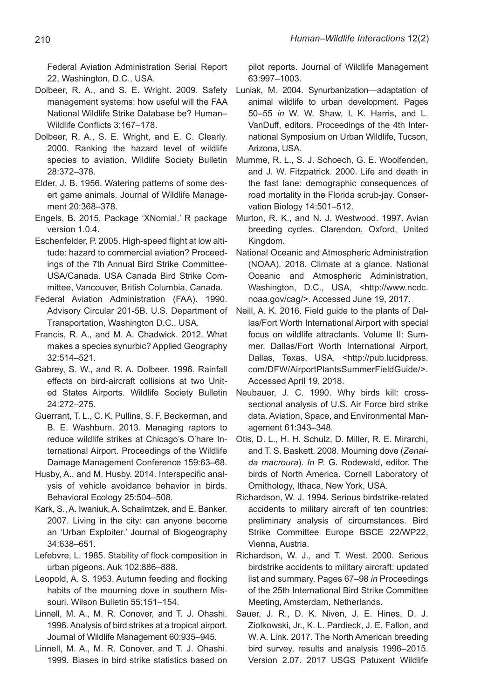Federal Aviation Administration Serial Report 22, Washington, D.C., USA.

- Dolbeer, R. A., and S. E. Wright. 2009. Safety management systems: how useful will the FAA National Wildlife Strike Database be? Human– Wildlife Conflicts 3:167–178.
- Dolbeer, R. A., S. E. Wright, and E. C. Clearly. 2000. Ranking the hazard level of wildlife species to aviation. Wildlife Society Bulletin 28:372–378.
- Elder, J. B. 1956. Watering patterns of some desert game animals. Journal of Wildlife Management 20:368–378.
- Engels, B. 2015. Package 'XNomial.' R package version 1.0.4.
- Eschenfelder, P. 2005. High-speed flight at low altitude: hazard to commercial aviation? Proceedings of the 7th Annual Bird Strike Committee-USA/Canada. USA Canada Bird Strike Committee, Vancouver, British Columbia, Canada.
- Federal Aviation Administration (FAA). 1990. Advisory Circular 201-5B. U.S. Department of Transportation, Washington D.C., USA.
- Francis, R. A., and M. A. Chadwick. 2012. What makes a species synurbic? Applied Geography 32:514–521.
- Gabrey, S. W., and R. A. Dolbeer. 1996. Rainfall effects on bird-aircraft collisions at two United States Airports. Wildlife Society Bulletin 24:272–275.
- Guerrant, T. L., C. K. Pullins, S. F. Beckerman, and B. E. Washburn. 2013. Managing raptors to reduce wildlife strikes at Chicago's O'hare International Airport. Proceedings of the Wildlife Damage Management Conference 159:63–68.
- Husby, A., and M. Husby. 2014. Interspecific analysis of vehicle avoidance behavior in birds. Behavioral Ecology 25:504–508.
- Kark, S., A. Iwaniuk, A. Schalimtzek, and E. Banker. 2007. Living in the city: can anyone become an 'Urban Exploiter.' Journal of Biogeography 34:638–651.
- Lefebvre, L. 1985. Stability of flock composition in urban pigeons. Auk 102:886–888.
- Leopold, A. S. 1953. Autumn feeding and flocking habits of the mourning dove in southern Missouri. Wilson Bulletin 55:151–154.
- Linnell, M. A., M. R. Conover, and T. J. Ohashi. 1996. Analysis of bird strikes at a tropical airport. Journal of Wildlife Management 60:935–945.
- Linnell, M. A., M. R. Conover, and T. J. Ohashi. 1999. Biases in bird strike statistics based on

pilot reports. Journal of Wildlife Management 63:997–1003.

- Luniak, M. 2004. Synurbanization—adaptation of animal wildlife to urban development. Pages 50–55 *in* W. W. Shaw, I. K. Harris, and L. VanDuff, editors. Proceedings of the 4th International Symposium on Urban Wildlife, Tucson, Arizona, USA.
- Mumme, R. L., S. J. Schoech, G. E. Woolfenden, and J. W. Fitzpatrick. 2000. Life and death in the fast lane: demographic consequences of road mortality in the Florida scrub-jay. Conservation Biology 14:501–512.
- Murton, R. K., and N. J. Westwood. 1997. Avian breeding cycles. Clarendon, Oxford, United Kingdom.
- National Oceanic and Atmospheric Administration (NOAA). 2018. Climate at a glance. National Oceanic and Atmospheric Administration, Washington, D.C., USA, <http://www.ncdc. noaa.gov/cag/>. Accessed June 19, 2017.
- Neill, A. K. 2016. Field guide to the plants of Dallas/Fort Worth International Airport with special focus on wildlife attractants. Volume II: Summer. Dallas/Fort Worth International Airport, Dallas, Texas, USA, <http://pub.lucidpress. com/DFW/AirportPlantsSummerFieldGuide/>. Accessed April 19, 2018.
- Neubauer, J. C. 1990. Why birds kill: crosssectional analysis of U.S. Air Force bird strike data. Aviation, Space, and Environmental Management 61:343–348.
- Otis, D. L., H. H. Schulz, D. Miller, R. E. Mirarchi, and T. S. Baskett. 2008. Mourning dove (*Zenaida macroura*). *In* P. G. Rodewald, editor. The birds of North America. Cornell Laboratory of Ornithology, Ithaca, New York, USA.
- Richardson, W. J. 1994. Serious birdstrike-related accidents to military aircraft of ten countries: preliminary analysis of circumstances. Bird Strike Committee Europe BSCE 22/WP22, Vienna, Austria.
- Richardson, W. J., and T. West. 2000. Serious birdstrike accidents to military aircraft: updated list and summary. Pages 67–98 *in* Proceedings of the 25th International Bird Strike Committee Meeting, Amsterdam, Netherlands.
- Sauer, J. R., D. K. Niven, J. E. Hines, D. J. Ziolkowski, Jr., K. L. Pardieck, J. E. Fallon, and W. A. Link. 2017. The North American breeding bird survey, results and analysis 1996–2015. Version 2.07. 2017 USGS Patuxent Wildlife